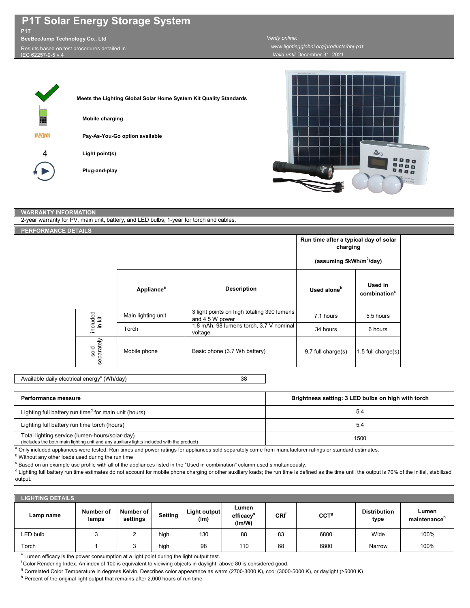## **P1T Solar Energy Storage System P1T**

**BeeBeeJump Technology Co., Ltd**

Results based on test procedures detailed in IEC 62257-9-5 v.4

¢

|             | Meets the Lighting Global Solar Home System Kit Quality Standards |
|-------------|-------------------------------------------------------------------|
| 藟           | Mobile charging                                                   |
| <b>PAYG</b> | Pay-As-You-Go option available                                    |
|             | Light point(s)                                                    |
|             | Plug-and-play                                                     |

## *Verify online:*

*Valid until:*December 31, 2021  *www.lightingglobal.org/products/bbj-p1t*



## **WARRANTY INFORMATION**

2-year warranty for PV, main unit, battery, and LED bulbs; 1-year for torch and cables.

## **PERFORMANCE DETAILS**

|  |                    |                        |                                                               | Run time after a typical day of solar<br>charging |                                     |
|--|--------------------|------------------------|---------------------------------------------------------------|---------------------------------------------------|-------------------------------------|
|  |                    |                        | (assuming 5kWh/m <sup>2</sup> /day)                           |                                                   |                                     |
|  |                    | Appliance <sup>a</sup> | <b>Description</b>                                            | Used alone <sup>b</sup>                           | Used in<br>combination <sup>c</sup> |
|  |                    | Main lighting unit     | 3 light points on high totaling 390 lumens<br>and 4.5 W power | 7.1 hours                                         | 5.5 hours                           |
|  | included<br>in kit | Torch                  | 1.8 mAh, 98 lumens torch, 3.7 V nominal<br>voltage            | 34 hours                                          | 6 hours                             |
|  | separately<br>sold | Mobile phone           | Basic phone (3.7 Wh battery)                                  | 9.7 full charge(s)                                | 1.5 full charge $(s)$               |

38 Available daily electrical energy $^{\rm c}$  (Wh/day)

| Performance measure                                                                                                                         | Brightness setting: 3 LED bulbs on high with torch |
|---------------------------------------------------------------------------------------------------------------------------------------------|----------------------------------------------------|
| Lighting full battery run time <sup>d</sup> for main unit (hours)                                                                           | 5.4                                                |
| Lighting full battery run time torch (hours)                                                                                                | 5.4                                                |
| Total lighting service (lumen-hours/solar-day)<br>(includes the both main lighting unit and any auxiliary lights included with the product) | 1500                                               |

a Only included appliances were tested. Run times and power ratings for appliances sold separately come from manufacturer ratings or standard estimates.

**b** Without any other loads used during the run time

 $\degree$  Based on an example use profile with all of the appliances listed in the "Used in combination" column used simultaneously.

 $^{\text{d}}$  Lighting full battery run time estimates do not account for mobile phone charging or other auxiliary loads; the run time is defined as the time until the output is 70% of the initial, stabilized output.

| <b>LIGHTING DETAILS</b> |                    |                       |         |                      |                                          |                  |                  |                             |                                   |
|-------------------------|--------------------|-----------------------|---------|----------------------|------------------------------------------|------------------|------------------|-----------------------------|-----------------------------------|
| Lamp name               | Number of<br>lamps | Number of<br>settings | Setting | Light output<br>(lm) | Lumen<br>efficacy <sup>®</sup><br>(Im/W) | CRI <sup>'</sup> | CCT <sup>9</sup> | <b>Distribution</b><br>type | Lumen<br>maintenance <sup>n</sup> |
| LED bulb                |                    |                       | high    | 130                  | 88                                       | 83               | 6800             | Wide                        | 100%                              |
| Torch                   |                    |                       | high    | 98                   | 110                                      | 68               | 6800             | Narrow                      | 100%                              |

<sup>e</sup> Lumen efficacy is the power consumption at a light point during the light output test.

f Color Rendering Index. An index of 100 is equivalent to vieiwing objects in daylight; above 80 is considered good.

<sup>g</sup> Correlated Color Temperature in degrees Kelvin. Describes color appearance as warm (2700-3000 K), cool (3000-5000 K), or daylight (>5000 K)

<sup>h</sup> Percent of the original light output that remains after 2,000 hours of run time